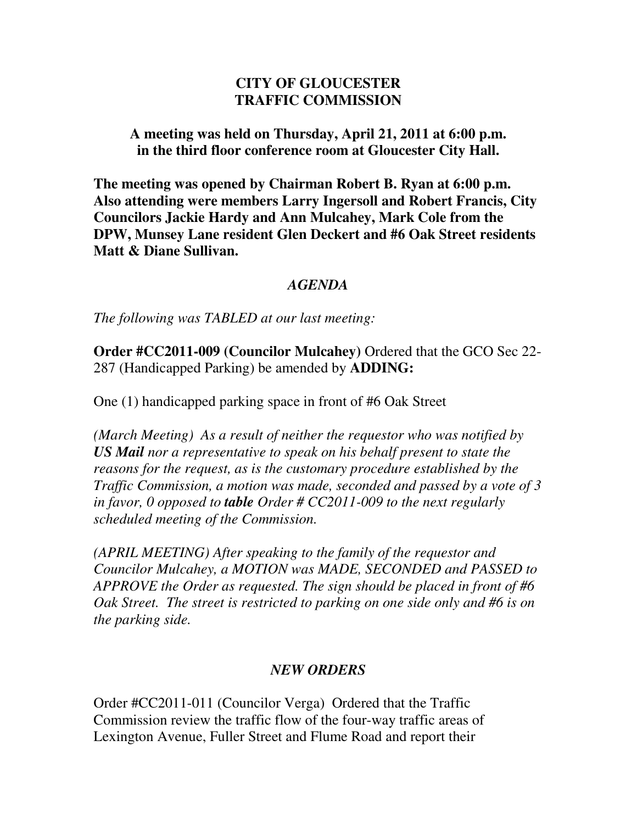## **CITY OF GLOUCESTER TRAFFIC COMMISSION**

**A meeting was held on Thursday, April 21, 2011 at 6:00 p.m. in the third floor conference room at Gloucester City Hall.** 

**The meeting was opened by Chairman Robert B. Ryan at 6:00 p.m. Also attending were members Larry Ingersoll and Robert Francis, City Councilors Jackie Hardy and Ann Mulcahey, Mark Cole from the DPW, Munsey Lane resident Glen Deckert and #6 Oak Street residents Matt & Diane Sullivan.** 

## *AGENDA*

*The following was TABLED at our last meeting:* 

**Order #CC2011-009 (Councilor Mulcahey)** Ordered that the GCO Sec 22- 287 (Handicapped Parking) be amended by **ADDING:** 

One (1) handicapped parking space in front of #6 Oak Street

*(March Meeting) As a result of neither the requestor who was notified by US Mail nor a representative to speak on his behalf present to state the reasons for the request, as is the customary procedure established by the Traffic Commission, a motion was made, seconded and passed by a vote of 3 in favor, 0 opposed to table Order # CC2011-009 to the next regularly scheduled meeting of the Commission.* 

*(APRIL MEETING) After speaking to the family of the requestor and Councilor Mulcahey, a MOTION was MADE, SECONDED and PASSED to APPROVE the Order as requested. The sign should be placed in front of #6 Oak Street. The street is restricted to parking on one side only and #6 is on the parking side.* 

## *NEW ORDERS*

Order #CC2011-011 (Councilor Verga) Ordered that the Traffic Commission review the traffic flow of the four-way traffic areas of Lexington Avenue, Fuller Street and Flume Road and report their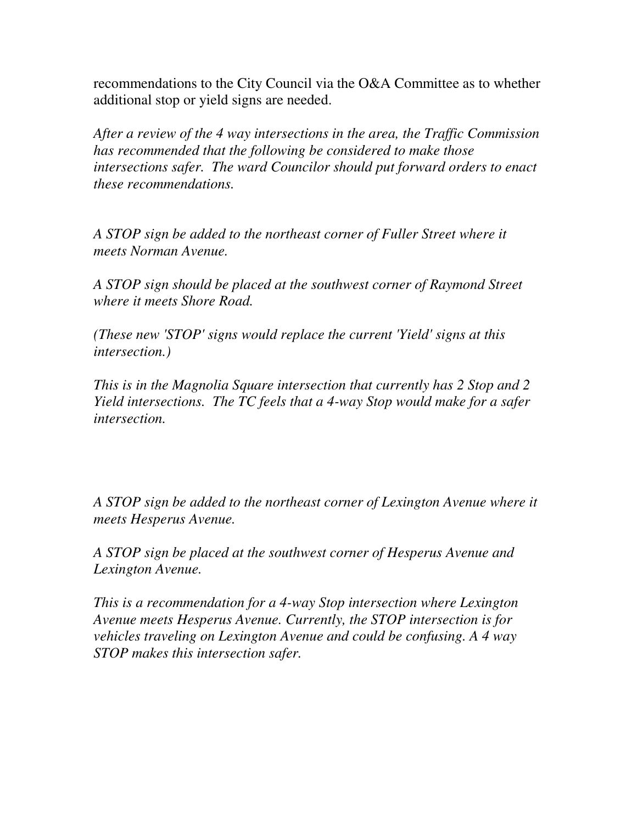recommendations to the City Council via the O&A Committee as to whether additional stop or yield signs are needed.

*After a review of the 4 way intersections in the area, the Traffic Commission has recommended that the following be considered to make those intersections safer. The ward Councilor should put forward orders to enact these recommendations.* 

*A STOP sign be added to the northeast corner of Fuller Street where it meets Norman Avenue.* 

*A STOP sign should be placed at the southwest corner of Raymond Street where it meets Shore Road.* 

*(These new 'STOP' signs would replace the current 'Yield' signs at this intersection.)* 

*This is in the Magnolia Square intersection that currently has 2 Stop and 2 Yield intersections. The TC feels that a 4-way Stop would make for a safer intersection.* 

*A STOP sign be added to the northeast corner of Lexington Avenue where it meets Hesperus Avenue.* 

*A STOP sign be placed at the southwest corner of Hesperus Avenue and Lexington Avenue.* 

*This is a recommendation for a 4-way Stop intersection where Lexington Avenue meets Hesperus Avenue. Currently, the STOP intersection is for vehicles traveling on Lexington Avenue and could be confusing. A 4 way STOP makes this intersection safer.*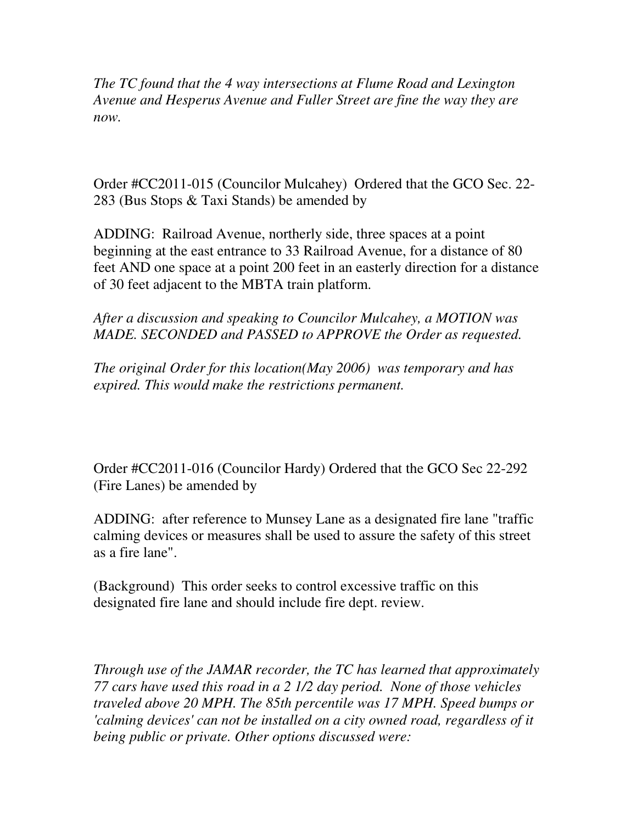*The TC found that the 4 way intersections at Flume Road and Lexington Avenue and Hesperus Avenue and Fuller Street are fine the way they are now.* 

Order #CC2011-015 (Councilor Mulcahey) Ordered that the GCO Sec. 22- 283 (Bus Stops & Taxi Stands) be amended by

ADDING: Railroad Avenue, northerly side, three spaces at a point beginning at the east entrance to 33 Railroad Avenue, for a distance of 80 feet AND one space at a point 200 feet in an easterly direction for a distance of 30 feet adjacent to the MBTA train platform.

*After a discussion and speaking to Councilor Mulcahey, a MOTION was MADE. SECONDED and PASSED to APPROVE the Order as requested.* 

*The original Order for this location(May 2006) was temporary and has expired. This would make the restrictions permanent.* 

Order #CC2011-016 (Councilor Hardy) Ordered that the GCO Sec 22-292 (Fire Lanes) be amended by

ADDING: after reference to Munsey Lane as a designated fire lane "traffic calming devices or measures shall be used to assure the safety of this street as a fire lane".

(Background) This order seeks to control excessive traffic on this designated fire lane and should include fire dept. review.

*Through use of the JAMAR recorder, the TC has learned that approximately 77 cars have used this road in a 2 1/2 day period. None of those vehicles traveled above 20 MPH. The 85th percentile was 17 MPH. Speed bumps or 'calming devices' can not be installed on a city owned road, regardless of it being public or private. Other options discussed were:*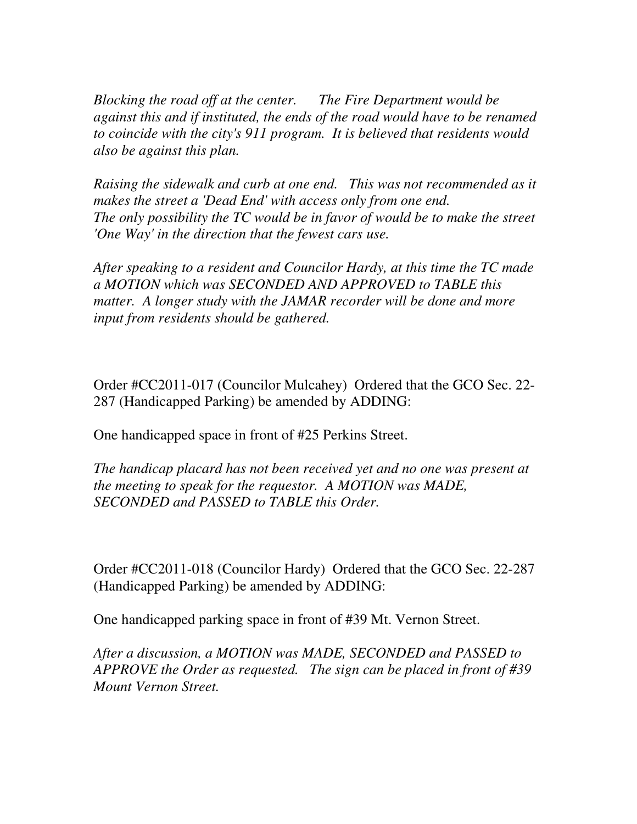*Blocking the road off at the center. The Fire Department would be against this and if instituted, the ends of the road would have to be renamed to coincide with the city's 911 program. It is believed that residents would also be against this plan.* 

*Raising the sidewalk and curb at one end. This was not recommended as it makes the street a 'Dead End' with access only from one end. The only possibility the TC would be in favor of would be to make the street 'One Way' in the direction that the fewest cars use.* 

*After speaking to a resident and Councilor Hardy, at this time the TC made a MOTION which was SECONDED AND APPROVED to TABLE this matter. A longer study with the JAMAR recorder will be done and more input from residents should be gathered.* 

Order #CC2011-017 (Councilor Mulcahey) Ordered that the GCO Sec. 22- 287 (Handicapped Parking) be amended by ADDING:

One handicapped space in front of #25 Perkins Street.

*The handicap placard has not been received yet and no one was present at the meeting to speak for the requestor. A MOTION was MADE, SECONDED and PASSED to TABLE this Order.* 

Order #CC2011-018 (Councilor Hardy) Ordered that the GCO Sec. 22-287 (Handicapped Parking) be amended by ADDING:

One handicapped parking space in front of #39 Mt. Vernon Street.

*After a discussion, a MOTION was MADE, SECONDED and PASSED to APPROVE the Order as requested. The sign can be placed in front of #39 Mount Vernon Street.*